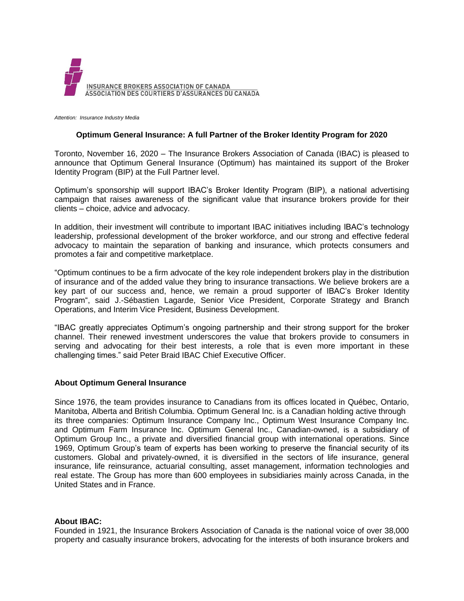

*Attention: Insurance Industry Media*

## **Optimum General Insurance: A full Partner of the Broker Identity Program for 2020**

Toronto, November 16, 2020 – The Insurance Brokers Association of Canada (IBAC) is pleased to announce that Optimum General Insurance (Optimum) has maintained its support of the Broker Identity Program (BIP) at the Full Partner level.

Optimum's sponsorship will support IBAC's Broker Identity Program (BIP), a national advertising campaign that raises awareness of the significant value that insurance brokers provide for their clients – choice, advice and advocacy.

In addition, their investment will contribute to important IBAC initiatives including IBAC's technology leadership, professional development of the broker workforce, and our strong and effective federal advocacy to maintain the separation of banking and insurance, which protects consumers and promotes a fair and competitive marketplace.

"Optimum continues to be a firm advocate of the key role independent brokers play in the distribution of insurance and of the added value they bring to insurance transactions. We believe brokers are a key part of our success and, hence, we remain a proud supporter of IBAC's Broker Identity Program", said J.-Sébastien Lagarde, Senior Vice President, Corporate Strategy and Branch Operations, and Interim Vice President, Business Development.

"IBAC greatly appreciates Optimum's ongoing partnership and their strong support for the broker channel. Their renewed investment underscores the value that brokers provide to consumers in serving and advocating for their best interests, a role that is even more important in these challenging times." said Peter Braid IBAC Chief Executive Officer.

## **About Optimum General Insurance**

Since 1976, the team provides insurance to Canadians from its offices located in Québec, Ontario, Manitoba, Alberta and British Columbia. Optimum General Inc. is a Canadian holding active through its three companies: Optimum Insurance Company Inc., Optimum West Insurance Company Inc. and Optimum Farm Insurance Inc. Optimum General Inc., Canadian-owned, is a subsidiary of Optimum Group Inc., a private and diversified financial group with international operations. Since 1969, Optimum Group's team of experts has been working to preserve the financial security of its customers. Global and privately-owned, it is diversified in the sectors of life insurance, general insurance, life reinsurance, actuarial consulting, asset management, information technologies and real estate. The Group has more than 600 employees in subsidiaries mainly across Canada, in the United States and in France.

## **About IBAC:**

Founded in 1921, the Insurance Brokers Association of Canada is the national voice of over 38,000 property and casualty insurance brokers, advocating for the interests of both insurance brokers and